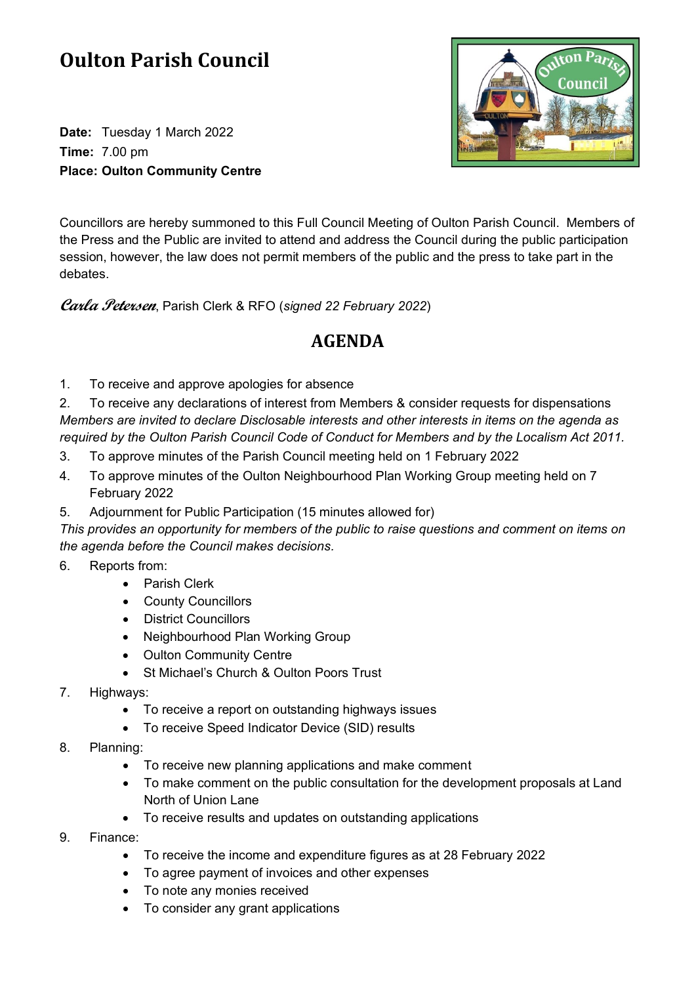## **Oulton Parish Council**

**Date:** Tuesday 1 March 2022 **Time:** 7.00 pm **Place: Oulton Community Centre**



Councillors are hereby summoned to this Full Council Meeting of Oulton Parish Council. Members of the Press and the Public are invited to attend and address the Council during the public participation session, however, the law does not permit members of the public and the press to take part in the debates.

**Carla Petersen**, Parish Clerk & RFO (*signed 22 February 2022*)

## **AGENDA**

1. To receive and approve apologies for absence

2. To receive any declarations of interest from Members & consider requests for dispensations *Members are invited to declare Disclosable interests and other interests in items on the agenda as required by the Oulton Parish Council Code of Conduct for Members and by the Localism Act 2011.*

- 3. To approve minutes of the Parish Council meeting held on 1 February 2022
- 4. To approve minutes of the Oulton Neighbourhood Plan Working Group meeting held on 7 February 2022
- 5. Adjournment for Public Participation (15 minutes allowed for)

*This provides an opportunity for members of the public to raise questions and comment on items on the agenda before the Council makes decisions.*

- 6. Reports from:
	- Parish Clerk
	- County Councillors
	- District Councillors
	- Neighbourhood Plan Working Group
	- Oulton Community Centre
	- St Michael's Church & Oulton Poors Trust
- 7. Highways:
	- To receive a report on outstanding highways issues
	- To receive Speed Indicator Device (SID) results
- 8. Planning:
	- To receive new planning applications and make comment
	- To make comment on the public consultation for the development proposals at Land North of Union Lane
	- To receive results and updates on outstanding applications
- 9. Finance:
	- To receive the income and expenditure figures as at 28 February 2022
	- To agree payment of invoices and other expenses
	- To note any monies received
	- To consider any grant applications